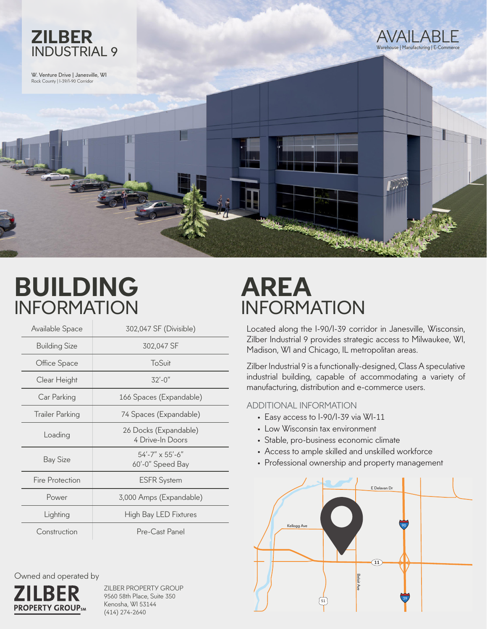

W. Venture Drive | Janesville, WI Rock County | I-39/I-90 Corridor



## **BUILDING** INFORMATION

| Available Space        | 302,047 SF (Divisible)                           |
|------------------------|--------------------------------------------------|
| <b>Building Size</b>   | 302,047 SF                                       |
| Office Space           | ToSuit                                           |
| Clear Height           | $32' - 0''$                                      |
| Car Parking            | 166 Spaces (Expandable)                          |
| <b>Trailer Parking</b> | 74 Spaces (Expandable)                           |
| Loading                | 26 Docks (Expandable)<br>4 Drive-In Doors        |
| <b>Bay Size</b>        | $54' - 7'' \times 55' - 6''$<br>60'-0" Speed Bay |
| Fire Protection        | <b>ESFR System</b>                               |
| Power                  | 3,000 Amps (Expandable)                          |
| Lighting               | <b>High Bay LED Fixtures</b>                     |
| Construction           | Pre-Cast Panel                                   |

Owned and operated by



ZILBER PROPERTY GROUP 9560 58th Place, Suite 350 Kenosha, WI 53144 (414) 274-2640

## **AREA** INFORMATION

Located along the I-90/I-39 corridor in Janesville, Wisconsin, Zilber Industrial 9 provides strategic access to Milwaukee, WI, Madison, WI and Chicago, IL metropolitan areas.

Zilber Industrial 9 is a functionally-designed, Class A speculative industrial building, capable of accommodating a variety of manufacturing, distribution and e-commerce users.

## ADDITIONAL INFORMATION

- Easy access to I-90/I-39 via WI-11
- Low Wisconsin tax environment
- Stable, pro-business economic climate
- Access to ample skilled and unskilled workforce
- Professional ownership and property management